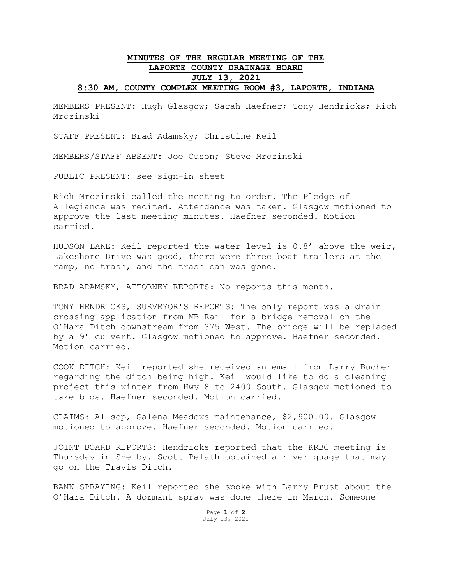## **MINUTES OF THE REGULAR MEETING OF THE LAPORTE COUNTY DRAINAGE BOARD JULY 13, 2021 8:30 AM, COUNTY COMPLEX MEETING ROOM #3, LAPORTE, INDIANA**

MEMBERS PRESENT: Hugh Glasgow; Sarah Haefner; Tony Hendricks; Rich Mrozinski

STAFF PRESENT: Brad Adamsky; Christine Keil

MEMBERS/STAFF ABSENT: Joe Cuson; Steve Mrozinski

PUBLIC PRESENT: see sign-in sheet

Rich Mrozinski called the meeting to order. The Pledge of Allegiance was recited. Attendance was taken. Glasgow motioned to approve the last meeting minutes. Haefner seconded. Motion carried.

HUDSON LAKE: Keil reported the water level is 0.8' above the weir, Lakeshore Drive was good, there were three boat trailers at the ramp, no trash, and the trash can was gone.

BRAD ADAMSKY, ATTORNEY REPORTS: No reports this month.

TONY HENDRICKS, SURVEYOR'S REPORTS: The only report was a drain crossing application from MB Rail for a bridge removal on the O'Hara Ditch downstream from 375 West. The bridge will be replaced by a 9' culvert. Glasgow motioned to approve. Haefner seconded. Motion carried.

COOK DITCH: Keil reported she received an email from Larry Bucher regarding the ditch being high. Keil would like to do a cleaning project this winter from Hwy 8 to 2400 South. Glasgow motioned to take bids. Haefner seconded. Motion carried.

CLAIMS: Allsop, Galena Meadows maintenance, \$2,900.00. Glasgow motioned to approve. Haefner seconded. Motion carried.

JOINT BOARD REPORTS: Hendricks reported that the KRBC meeting is Thursday in Shelby. Scott Pelath obtained a river guage that may go on the Travis Ditch.

BANK SPRAYING: Keil reported she spoke with Larry Brust about the O'Hara Ditch. A dormant spray was done there in March. Someone

> Page **1** of **2** July 13, 2021